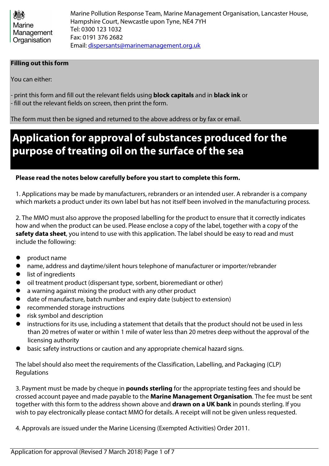| 機             | Marine Pollution Response Team, Marine Management Organisation, Lancaster House, |
|---------------|----------------------------------------------------------------------------------|
| <b>Marine</b> | Hampshire Court, Newcastle upon Tyne, NE4 7YH                                    |
| Management    | Tel: 0300 123 1032                                                               |
| Organisation  | Fax: 0191 376 2682                                                               |
|               | Email: dispersants@marinemanagement.org.uk                                       |

#### **Filling out this form**

You can either:

- print this form and fill out the relevant fields using **block capitals** and in **black ink** or - fill out the relevant fields on screen, then print the form.

The form must then be signed and returned to the above address or by fax or email.

# **Application for approval of substances produced for the purpose of treating oil on the surface of the sea**

#### **Please read the notes below carefully before you start to complete this form.**

1. Applications may be made by manufacturers, rebranders or an intended user. A rebrander is a company which markets a product under its own label but has not itself been involved in the manufacturing process.

2. The MMO must also approve the proposed labelling for the product to ensure that it correctly indicates how and when the product can be used. Please enclose a copy of the label, together with a copy of the **safety data sheet**, you intend to use with this application. The label should be easy to read and must include the following:

- l product name
- **•** name, address and daytime/silent hours telephone of manufacturer or importer/rebrander
- $\bullet$  list of ingredients
- $\bullet$  oil treatment product (dispersant type, sorbent, bioremediant or other)
- **•** a warning against mixing the product with any other product
- **I** date of manufacture, batch number and expiry date (subject to extension)
- recommended storage instructions
- risk symbol and description
- instructions for its use, including a statement that details that the product should not be used in less than 20 metres of water or within 1 mile of water less than 20 metres deep without the approval of the licensing authority
- basic safety instructions or caution and any appropriate chemical hazard signs.

The label should also meet the requirements of the Classification, Labelling, and Packaging (CLP) Regulations

3. Payment must be made by cheque in **pounds sterling** for the appropriate testing fees and should be crossed account payee and made payable to the **Marine Management Organisation**. The fee must be sent together with this form to the address shown above and **drawn on a UK bank** in pounds sterling. If you wish to pay electronically please contact MMO for details. A receipt will not be given unless requested.

4. Approvals are issued under the Marine Licensing (Exempted Activities) Order 2011.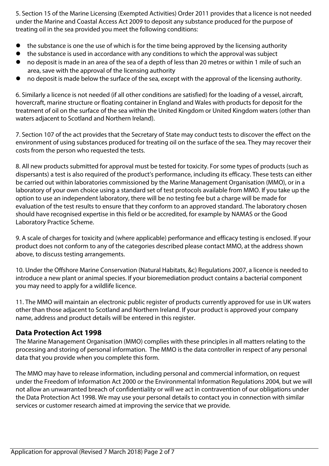5. Section 15 of the Marine Licensing (Exempted Activities) Order 2011 provides that a licence is not needed under the Marine and Coastal Access Act 2009 to deposit any substance produced for the purpose of treating oil in the sea provided you meet the following conditions:

- the substance is one the use of which is for the time being approved by the licensing authority
- $\bullet$  the substance is used in accordance with any conditions to which the approval was subject
- no deposit is made in an area of the sea of a depth of less than 20 metres or within 1 mile of such an area, save with the approval of the licensing authority
- no deposit is made below the surface of the sea, except with the approval of the licensing authority.

6. Similarly a licence is not needed (if all other conditions are satisfied) for the loading of a vessel, aircraft, hovercraft, marine structure or floating container in England and Wales with products for deposit for the treatment of oil on the surface of the sea within the United Kingdom or United Kingdom waters (other than waters adjacent to Scotland and Northern Ireland).

7. Section 107 of the act provides that the Secretary of State may conduct tests to discover the effect on the environment of using substances produced for treating oil on the surface of the sea. They may recover their costs from the person who requested the tests.

8. All new products submitted for approval must be tested for toxicity. For some types of products (such as dispersants) a test is also required of the product's performance, including its efficacy. These tests can either be carried out within laboratories commissioned by the Marine Management Organisation (MMO), or in a laboratory of your own choice using a standard set of test protocols available from MMO. If you take up the option to use an independent laboratory, there will be no testing fee but a charge will be made for evaluation of the test results to ensure that they conform to an approved standard. The laboratory chosen should have recognised expertise in this field or be accredited, for example by NAMAS or the Good Laboratory Practice Scheme.

9. A scale of charges for toxicity and (where applicable) performance and efficacy testing is enclosed. If your product does not conform to any of the categories described please contact MMO, at the address shown above, to discuss testing arrangements.

10. Under the Offshore Marine Conservation (Natural Habitats, &c) Regulations 2007, a licence is needed to introduce a new plant or animal species. If your bioremediation product contains a bacterial component you may need to apply for a wildlife licence.

11. The MMO will maintain an electronic public register of products currently approved for use in UK waters other than those adjacent to Scotland and Northern Ireland. If your product is approved your company name, address and product details will be entered in this register.

#### **Data Protection Act 1998**

The Marine Management Organisation (MMO) complies with these principles in all matters relating to the processing and storing of personal information. The MMO is the data controller in respect of any personal data that you provide when you complete this form.

The MMO may have to release information, including personal and commercial information, on request under the Freedom of Information Act 2000 or the Environmental Information Regulations 2004, but we will not allow an unwarranted breach of confidentiality or will we act in contravention of our obligations under the Data Protection Act 1998. We may use your personal details to contact you in connection with similar services or customer research aimed at improving the service that we provide.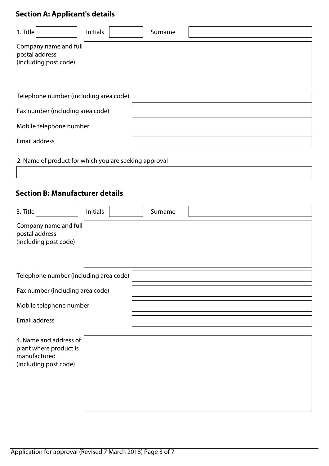# **Section A: Applicant's details**

| 1. Title                                                         | <b>Initials</b> | Surname |
|------------------------------------------------------------------|-----------------|---------|
| Company name and full<br>postal address<br>(including post code) |                 |         |
| Telephone number (including area code)                           |                 |         |
| Fax number (including area code)                                 |                 |         |
| Mobile telephone number                                          |                 |         |
| <b>Email address</b>                                             |                 |         |

2. Name of product for which you are seeking approval

## **Section B: Manufacturer details**

| 3. Title                                                                                  | <b>Initials</b> | Surname |  |
|-------------------------------------------------------------------------------------------|-----------------|---------|--|
| Company name and full<br>postal address<br>(including post code)                          |                 |         |  |
| Telephone number (including area code)                                                    |                 |         |  |
| Fax number (including area code)                                                          |                 |         |  |
| Mobile telephone number                                                                   |                 |         |  |
| <b>Email address</b>                                                                      |                 |         |  |
| 4. Name and address of<br>plant where product is<br>manufactured<br>(including post code) |                 |         |  |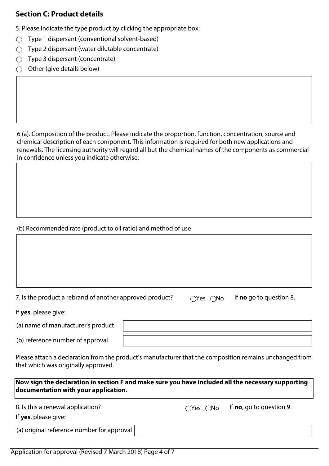### **Section C: Product details**

5. Please indicate the type product by clicking the appropriate box:

- $\bigcirc$  Type 1 dispersant (conventional solvent-based)
- $\bigcirc$  Type 2 dispersant (water dilutable concentrate)
- $\bigcirc$  Type 3 dispersant (concentrate)
- $\bigcirc$  Other (give details below)

6 (a). Composition of the product. Please indicate the proportion, function, concentration, source and chemical description of each component. This information is required for both new applications and renewals. The licensing authority will regard all but the chemical names of the components as commercial in confidence unless you indicate otherwise.

### (b) Recommended rate (product to oil ratio) and method of use

| 7. Is the product a rebrand of another approved product |  |  |
|---------------------------------------------------------|--|--|
|                                                         |  |  |
|                                                         |  |  |

7. **Canonic a Product a Represe** response a response  $\overline{C}$  **no**  $\overline{C}$  if **no** go to question 8.

If **yes**, please give:

(a) name of manufacturer's product

(b) reference number of approval

Please attach a declaration from the product's manufacturer that the composition remains unchanged from that which was originally approved.

**Now sign the declaration in section F and make sure you have included all the necessary supporting documentation with your application.**

8. Is this a renewal application? The Section of the Section 9.

If **yes**, please give:

(a) original reference number for approval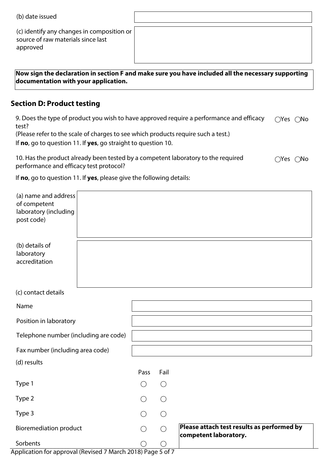| (b) date issued |  |
|-----------------|--|
|-----------------|--|

(c) identify any changes in composition or source of raw materials since last approved

**Now sign the declaration in section F and make sure you have included all the necessary supporting documentation with your application.**

### **Section D: Product testing**

9. Does the type of product you wish to have approved require a performance and efficacy test?  $\bigcirc$ Yes  $\bigcirc$ No

(Please refer to the scale of charges to see which products require such a test.)

If **no**, go to question 11. If **yes**, go straight to question 10.

| 10. Has the product already been tested by a competent laboratory to the required | $\bigcirc$ Yes $\bigcirc$ No |  |
|-----------------------------------------------------------------------------------|------------------------------|--|
| performance and efficacy test protocol?                                           |                              |  |

If **no**, go to question 11. If **yes**, please give the following details:

| (a) name and address<br>of competent<br>laboratory (including<br>post code) |  |                 |                 |                                                                     |
|-----------------------------------------------------------------------------|--|-----------------|-----------------|---------------------------------------------------------------------|
| (b) details of<br>laboratory<br>accreditation                               |  |                 |                 |                                                                     |
| (c) contact details                                                         |  |                 |                 |                                                                     |
| Name                                                                        |  |                 |                 |                                                                     |
| Position in laboratory                                                      |  |                 |                 |                                                                     |
| Telephone number (including are code)                                       |  |                 |                 |                                                                     |
| Fax number (including area code)                                            |  |                 |                 |                                                                     |
| (d) results                                                                 |  |                 |                 |                                                                     |
|                                                                             |  | Pass            | Fail            |                                                                     |
| Type 1                                                                      |  | $\bigcirc$      | $\bigcirc$      |                                                                     |
| Type 2                                                                      |  |                 | $( \ )$         |                                                                     |
| Type 3                                                                      |  |                 | $\bigcirc$      |                                                                     |
| <b>Bioremediation product</b>                                               |  | $\left(\right)$ | $\left(\right)$ | Please attach test results as performed by<br>competent laboratory. |
| Sorbents                                                                    |  |                 |                 |                                                                     |

Application for approval (Revised 7 March 2018) Page 5 of 7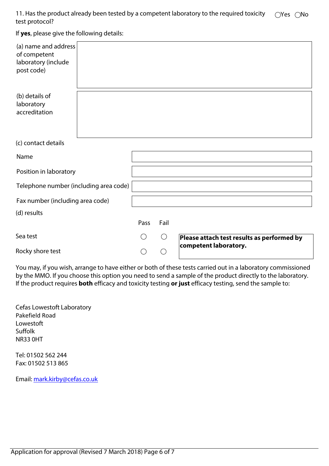11. Has the product already been tested by a competent laboratory to the required toxicity test protocol?  $\bigcirc$ Yes  $\bigcirc$ No

If **yes**, please give the following details:

| (a) name and address<br>of competent<br>laboratory (include<br>post code) |  |      |      |                                            |
|---------------------------------------------------------------------------|--|------|------|--------------------------------------------|
| (b) details of<br>laboratory<br>accreditation                             |  |      |      |                                            |
| (c) contact details                                                       |  |      |      |                                            |
| Name                                                                      |  |      |      |                                            |
| Position in laboratory                                                    |  |      |      |                                            |
| Telephone number (including area code)                                    |  |      |      |                                            |
| Fax number (including area code)                                          |  |      |      |                                            |
| (d) results                                                               |  |      |      |                                            |
|                                                                           |  | Pass | Fail |                                            |
| Sea test                                                                  |  |      | ( )  | Please attach test results as performed by |
| Rocky shore test                                                          |  |      |      | competent laboratory.                      |

You may, if you wish, arrange to have either or both of these tests carried out in a laboratory commissioned by the MMO. If you choose this option you need to send a sample of the product directly to the laboratory. If the product requires **both** efficacy and toxicity testing **or just** efficacy testing, send the sample to:

Cefas Lowestoft Laboratory Pakefield Road Lowestoft Suffolk NR33 0HT

Tel: 01502 562 244 Fax: 01502 513 865

Email: mark.kirby@cefas.co.uk